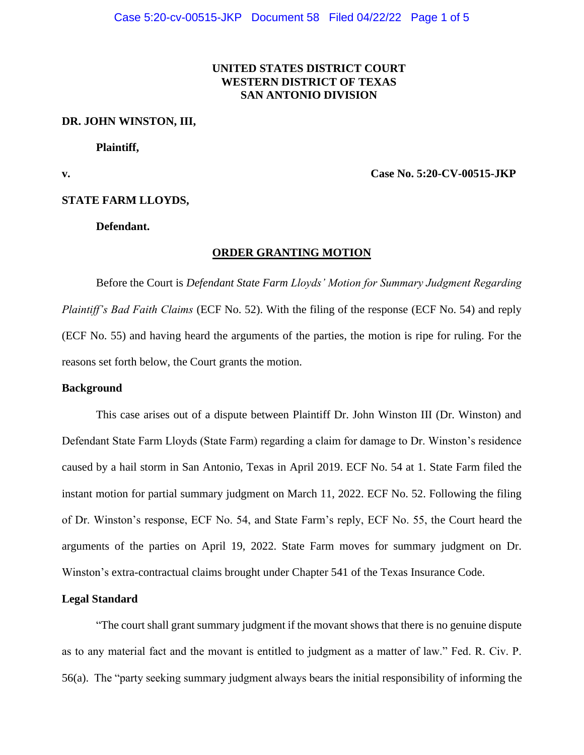# **UNITED STATES DISTRICT COURT WESTERN DISTRICT OF TEXAS SAN ANTONIO DIVISION**

#### **DR. JOHN WINSTON, III,**

**Plaintiff,** 

**v. Case No. 5:20-CV-00515-JKP**

#### **STATE FARM LLOYDS,**

**Defendant.**

### **ORDER GRANTING MOTION**

Before the Court is *Defendant State Farm Lloyds' Motion for Summary Judgment Regarding Plaintiff's Bad Faith Claims* (ECF No. 52). With the filing of the response (ECF No. 54) and reply (ECF No. 55) and having heard the arguments of the parties, the motion is ripe for ruling. For the reasons set forth below, the Court grants the motion.

#### **Background**

This case arises out of a dispute between Plaintiff Dr. John Winston III (Dr. Winston) and Defendant State Farm Lloyds (State Farm) regarding a claim for damage to Dr. Winston's residence caused by a hail storm in San Antonio, Texas in April 2019. ECF No. 54 at 1. State Farm filed the instant motion for partial summary judgment on March 11, 2022. ECF No. 52. Following the filing of Dr. Winston's response, ECF No. 54, and State Farm's reply, ECF No. 55, the Court heard the arguments of the parties on April 19, 2022. State Farm moves for summary judgment on Dr. Winston's extra-contractual claims brought under Chapter 541 of the Texas Insurance Code.

# **Legal Standard**

"The court shall grant summary judgment if the movant shows that there is no genuine dispute as to any material fact and the movant is entitled to judgment as a matter of law." Fed. R. Civ. P. 56(a). The "party seeking summary judgment always bears the initial responsibility of informing the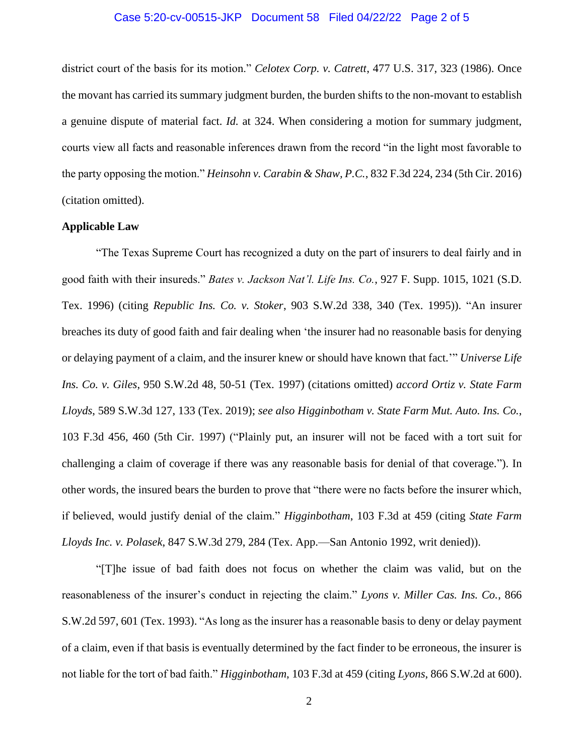# Case 5:20-cv-00515-JKP Document 58 Filed 04/22/22 Page 2 of 5

district court of the basis for its motion." *Celotex Corp. v. Catrett*, 477 U.S. 317, 323 (1986). Once the movant has carried its summary judgment burden, the burden shifts to the non-movant to establish a genuine dispute of material fact. *Id.* at 324. When considering a motion for summary judgment, courts view all facts and reasonable inferences drawn from the record "in the light most favorable to the party opposing the motion." *Heinsohn v. Carabin & Shaw, P.C.*, 832 F.3d 224, 234 (5th Cir. 2016) (citation omitted).

## **Applicable Law**

"The Texas Supreme Court has recognized a duty on the part of insurers to deal fairly and in good faith with their insureds." *Bates v. Jackson Nat'l. Life Ins. Co.*, 927 F. Supp. 1015, 1021 (S.D. Tex. 1996) (citing *Republic Ins. Co. v. Stoker*, 903 S.W.2d 338, 340 (Tex. 1995)). "An insurer breaches its duty of good faith and fair dealing when 'the insurer had no reasonable basis for denying or delaying payment of a claim, and the insurer knew or should have known that fact.'" *Universe Life Ins. Co. v. Giles*, 950 S.W.2d 48, 50-51 (Tex. 1997) (citations omitted) *accord Ortiz v. State Farm Lloyds*, 589 S.W.3d 127, 133 (Tex. 2019); *see also Higginbotham v. State Farm Mut. Auto. Ins. Co.*, 103 F.3d 456, 460 (5th Cir. 1997) ("Plainly put, an insurer will not be faced with a tort suit for challenging a claim of coverage if there was any reasonable basis for denial of that coverage."). In other words, the insured bears the burden to prove that "there were no facts before the insurer which, if believed, would justify denial of the claim." *Higginbotham*, 103 F.3d at 459 (citing *State Farm Lloyds Inc. v. Polasek*, 847 S.W.3d 279, 284 (Tex. App.—San Antonio 1992, writ denied)).

"[T]he issue of bad faith does not focus on whether the claim was valid, but on the reasonableness of the insurer's conduct in rejecting the claim." *Lyons v. Miller Cas. Ins. Co.*, 866 S.W.2d 597, 601 (Tex. 1993). "As long as the insurer has a reasonable basis to deny or delay payment of a claim, even if that basis is eventually determined by the fact finder to be erroneous, the insurer is not liable for the tort of bad faith." *Higginbotham*, 103 F.3d at 459 (citing *Lyons*, 866 S.W.2d at 600).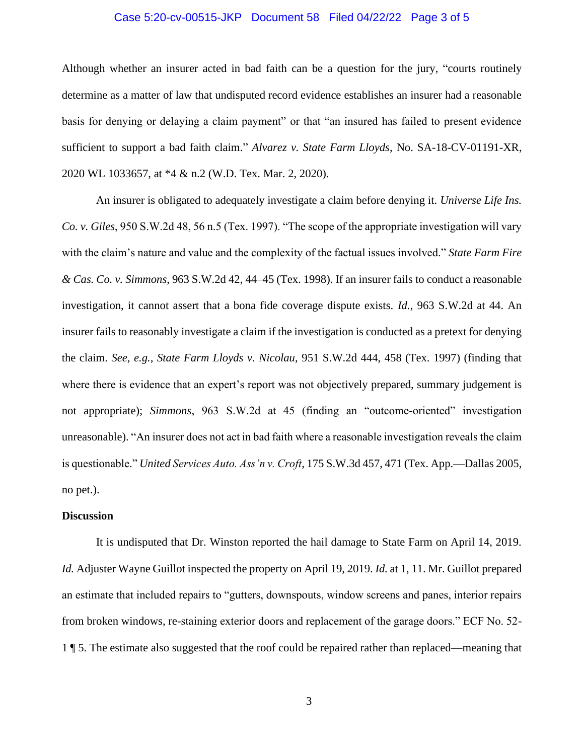## Case 5:20-cv-00515-JKP Document 58 Filed 04/22/22 Page 3 of 5

Although whether an insurer acted in bad faith can be a question for the jury, "courts routinely determine as a matter of law that undisputed record evidence establishes an insurer had a reasonable basis for denying or delaying a claim payment" or that "an insured has failed to present evidence sufficient to support a bad faith claim." *Alvarez v. State Farm Lloyds*, No. SA-18-CV-01191-XR, 2020 WL 1033657, at \*4 & n.2 (W.D. Tex. Mar. 2, 2020).

An insurer is obligated to adequately investigate a claim before denying it. *Universe Life Ins. Co. v. Giles*, 950 S.W.2d 48, 56 n.5 (Tex. 1997). "The scope of the appropriate investigation will vary with the claim's nature and value and the complexity of the factual issues involved." *State Farm Fire & Cas. Co. v. Simmons*, 963 S.W.2d 42, 44–45 (Tex. 1998). If an insurer fails to conduct a reasonable investigation, it cannot assert that a bona fide coverage dispute exists. *Id.*, 963 S.W.2d at 44. An insurer fails to reasonably investigate a claim if the investigation is conducted as a pretext for denying the claim. *See, e.g., State Farm Lloyds v. Nicolau*, 951 S.W.2d 444, 458 (Tex. 1997) (finding that where there is evidence that an expert's report was not objectively prepared, summary judgement is not appropriate); *Simmons*, 963 S.W.2d at 45 (finding an "outcome-oriented" investigation unreasonable). "An insurer does not act in bad faith where a reasonable investigation reveals the claim is questionable." *United Services Auto. Ass'n v. Croft*, 175 S.W.3d 457, 471 (Tex. App.—Dallas 2005, no pet.).

#### **Discussion**

It is undisputed that Dr. Winston reported the hail damage to State Farm on April 14, 2019. *Id.* Adjuster Wayne Guillot inspected the property on April 19, 2019. *Id.* at 1, 11. Mr. Guillot prepared an estimate that included repairs to "gutters, downspouts, window screens and panes, interior repairs from broken windows, re-staining exterior doors and replacement of the garage doors." ECF No. 52- 1 ¶ 5. The estimate also suggested that the roof could be repaired rather than replaced—meaning that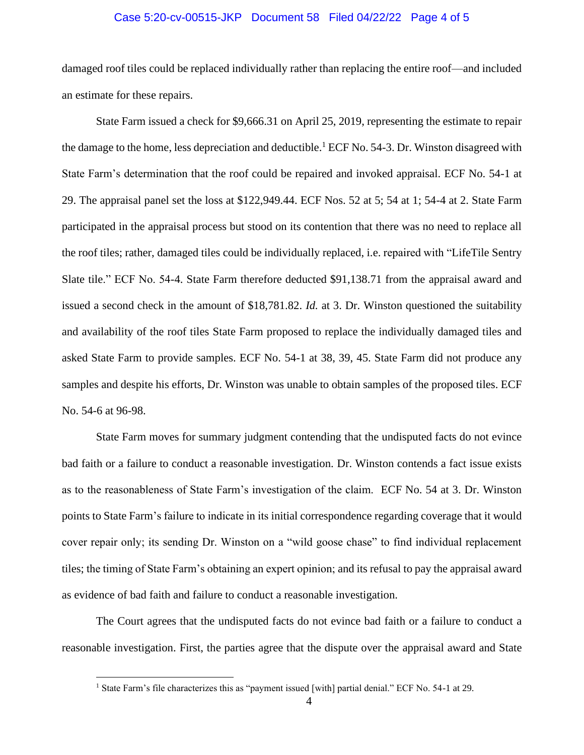## Case 5:20-cv-00515-JKP Document 58 Filed 04/22/22 Page 4 of 5

damaged roof tiles could be replaced individually rather than replacing the entire roof—and included an estimate for these repairs.

State Farm issued a check for \$9,666.31 on April 25, 2019, representing the estimate to repair the damage to the home, less depreciation and deductible.<sup>1</sup> ECF No. 54-3. Dr. Winston disagreed with State Farm's determination that the roof could be repaired and invoked appraisal. ECF No. 54-1 at 29. The appraisal panel set the loss at \$122,949.44. ECF Nos. 52 at 5; 54 at 1; 54-4 at 2. State Farm participated in the appraisal process but stood on its contention that there was no need to replace all the roof tiles; rather, damaged tiles could be individually replaced, i.e. repaired with "LifeTile Sentry Slate tile." ECF No. 54-4. State Farm therefore deducted \$91,138.71 from the appraisal award and issued a second check in the amount of \$18,781.82. *Id.* at 3. Dr. Winston questioned the suitability and availability of the roof tiles State Farm proposed to replace the individually damaged tiles and asked State Farm to provide samples. ECF No. 54-1 at 38, 39, 45. State Farm did not produce any samples and despite his efforts, Dr. Winston was unable to obtain samples of the proposed tiles. ECF No. 54-6 at 96-98.

State Farm moves for summary judgment contending that the undisputed facts do not evince bad faith or a failure to conduct a reasonable investigation. Dr. Winston contends a fact issue exists as to the reasonableness of State Farm's investigation of the claim. ECF No. 54 at 3. Dr. Winston points to State Farm's failure to indicate in its initial correspondence regarding coverage that it would cover repair only; its sending Dr. Winston on a "wild goose chase" to find individual replacement tiles; the timing of State Farm's obtaining an expert opinion; and its refusal to pay the appraisal award as evidence of bad faith and failure to conduct a reasonable investigation.

The Court agrees that the undisputed facts do not evince bad faith or a failure to conduct a reasonable investigation. First, the parties agree that the dispute over the appraisal award and State

<sup>&</sup>lt;sup>1</sup> State Farm's file characterizes this as "payment issued [with] partial denial." ECF No. 54-1 at 29.